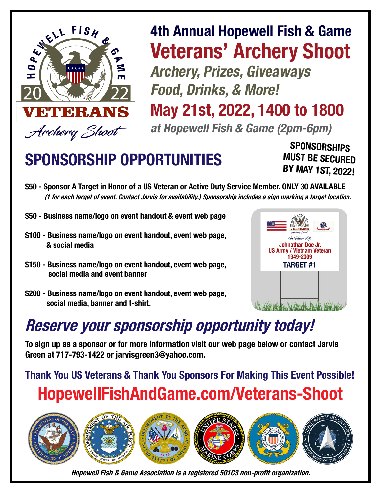

## 4th Annual Hopewell Fish & Game Veterans' Archery Shoot Archery, Prizes, Giveaways Food, Drinks, & More!

May 21st, 2022, 1400 to 1800

at Hopewell Fish & Game (2pm-6pm)

## SPONSORSHIP OPPORTUNITIES

**SPONSORSHIPS** MUST BE SECURED BY MAY 1ST, 2022!

- \$50 Sponsor A Target in Honor of a US Veteran or Active Duty Service Member. ONLY 30 AVAILABLE (1 for each target of event. Contact Jarvis for availability.) Sponsorship includes a sign marking a target location.
- \$50 Business name/logo on event handout & event web page
- \$100 Business name/logo on event handout, event web page, & social media
- \$150 Business name/logo on event handout, event web page, social media and event banner
- \$200 Business name/logo on event handout, event web page, social media, banner and t-shirt.



## Reserve your sponsorship opportunity today!

To sign up as a sponsor or for more information visit our web page below or contact Jarvis Green at 717-793-1422 or jarvisgreen3@yahoo.com.

Thank You US Veterans & Thank You Sponsors For Making This Event Possible! HopewellFishAndGame.com/Veterans-Shoot



Hopewell Fish & Game Association is a registered 501C3 non-profit organization.